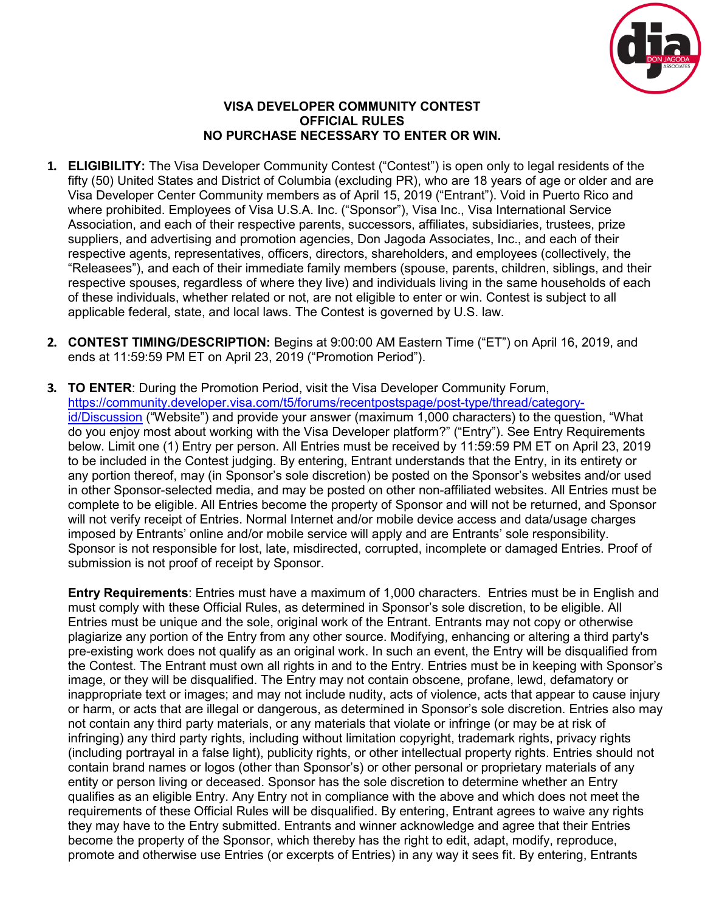

## **VISA DEVELOPER COMMUNITY CONTEST OFFICIAL RULES NO PURCHASE NECESSARY TO ENTER OR WIN.**

- **1. ELIGIBILITY:** The Visa Developer Community Contest ("Contest") is open only to legal residents of the fifty (50) United States and District of Columbia (excluding PR), who are 18 years of age or older and are Visa Developer Center Community members as of April 15, 2019 ("Entrant"). Void in Puerto Rico and where prohibited. Employees of Visa U.S.A. Inc. ("Sponsor"), Visa Inc., Visa International Service Association, and each of their respective parents, successors, affiliates, subsidiaries, trustees, prize suppliers, and advertising and promotion agencies, Don Jagoda Associates, Inc., and each of their respective agents, representatives, officers, directors, shareholders, and employees (collectively, the "Releasees"), and each of their immediate family members (spouse, parents, children, siblings, and their respective spouses, regardless of where they live) and individuals living in the same households of each of these individuals, whether related or not, are not eligible to enter or win. Contest is subject to all applicable federal, state, and local laws. The Contest is governed by U.S. law.
- **2. CONTEST TIMING/DESCRIPTION:** Begins at 9:00:00 AM Eastern Time ("ET") on April 16, 2019, and ends at 11:59:59 PM ET on April 23, 2019 ("Promotion Period").
- **3. TO ENTER**: During the Promotion Period, visit the Visa Developer Community Forum, [https://community.developer.visa.com/t5/forums/recentpostspage/post-type/thread/category](https://community.developer.visa.com/t5/forums/recentpostspage/post-type/thread/category-id/Discussion)[id/Discussion](https://community.developer.visa.com/t5/forums/recentpostspage/post-type/thread/category-id/Discussion) ("Website") and provide your answer (maximum 1,000 characters) to the question, "What do you enjoy most about working with the Visa Developer platform?" ("Entry"). See Entry Requirements below. Limit one (1) Entry per person. All Entries must be received by 11:59:59 PM ET on April 23, 2019 to be included in the Contest judging. By entering, Entrant understands that the Entry, in its entirety or any portion thereof, may (in Sponsor's sole discretion) be posted on the Sponsor's websites and/or used in other Sponsor-selected media, and may be posted on other non-affiliated websites. All Entries must be complete to be eligible. All Entries become the property of Sponsor and will not be returned, and Sponsor will not verify receipt of Entries. Normal Internet and/or mobile device access and data/usage charges imposed by Entrants' online and/or mobile service will apply and are Entrants' sole responsibility. Sponsor is not responsible for lost, late, misdirected, corrupted, incomplete or damaged Entries. Proof of submission is not proof of receipt by Sponsor.

**Entry Requirements**: Entries must have a maximum of 1,000 characters. Entries must be in English and must comply with these Official Rules, as determined in Sponsor's sole discretion, to be eligible. All Entries must be unique and the sole, original work of the Entrant. Entrants may not copy or otherwise plagiarize any portion of the Entry from any other source. Modifying, enhancing or altering a third party's pre-existing work does not qualify as an original work. In such an event, the Entry will be disqualified from the Contest. The Entrant must own all rights in and to the Entry. Entries must be in keeping with Sponsor's image, or they will be disqualified. The Entry may not contain obscene, profane, lewd, defamatory or inappropriate text or images; and may not include nudity, acts of violence, acts that appear to cause injury or harm, or acts that are illegal or dangerous, as determined in Sponsor's sole discretion. Entries also may not contain any third party materials, or any materials that violate or infringe (or may be at risk of infringing) any third party rights, including without limitation copyright, trademark rights, privacy rights (including portrayal in a false light), publicity rights, or other intellectual property rights. Entries should not contain brand names or logos (other than Sponsor's) or other personal or proprietary materials of any entity or person living or deceased. Sponsor has the sole discretion to determine whether an Entry qualifies as an eligible Entry. Any Entry not in compliance with the above and which does not meet the requirements of these Official Rules will be disqualified. By entering, Entrant agrees to waive any rights they may have to the Entry submitted. Entrants and winner acknowledge and agree that their Entries become the property of the Sponsor, which thereby has the right to edit, adapt, modify, reproduce, promote and otherwise use Entries (or excerpts of Entries) in any way it sees fit. By entering, Entrants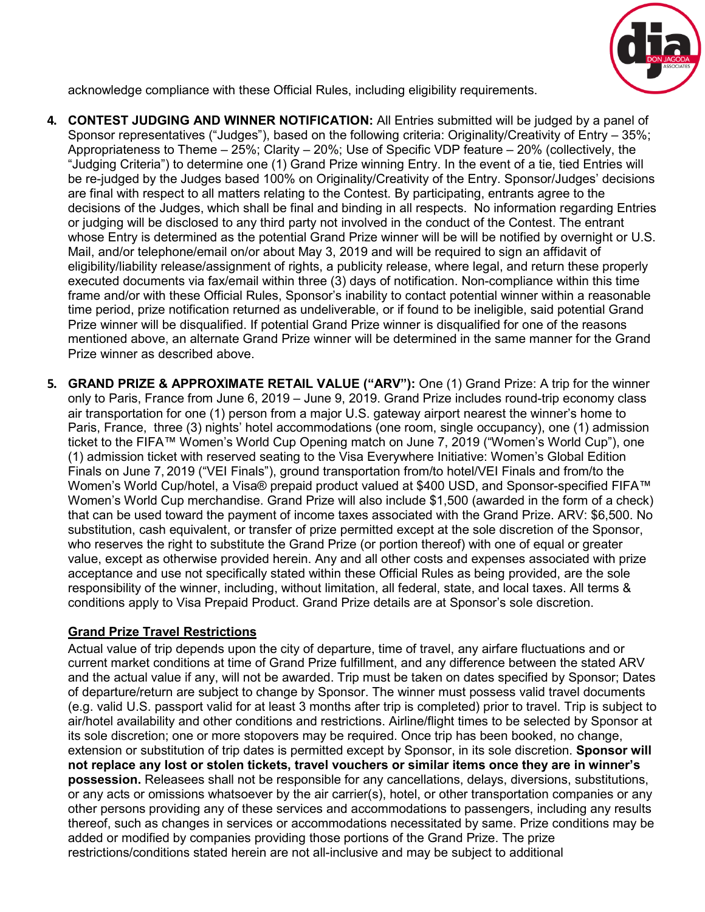

acknowledge compliance with these Official Rules, including eligibility requirements.

- **4. CONTEST JUDGING AND WINNER NOTIFICATION:** All Entries submitted will be judged by a panel of Sponsor representatives ("Judges"), based on the following criteria: Originality/Creativity of Entry – 35%; Appropriateness to Theme – 25%; Clarity – 20%; Use of Specific VDP feature – 20% (collectively, the "Judging Criteria") to determine one (1) Grand Prize winning Entry. In the event of a tie, tied Entries will be re-judged by the Judges based 100% on Originality/Creativity of the Entry. Sponsor/Judges' decisions are final with respect to all matters relating to the Contest. By participating, entrants agree to the decisions of the Judges, which shall be final and binding in all respects. No information regarding Entries or judging will be disclosed to any third party not involved in the conduct of the Contest. The entrant whose Entry is determined as the potential Grand Prize winner will be will be notified by overnight or U.S. Mail, and/or telephone/email on/or about May 3, 2019 and will be required to sign an affidavit of eligibility/liability release/assignment of rights, a publicity release, where legal, and return these properly executed documents via fax/email within three (3) days of notification. Non-compliance within this time frame and/or with these Official Rules, Sponsor's inability to contact potential winner within a reasonable time period, prize notification returned as undeliverable, or if found to be ineligible, said potential Grand Prize winner will be disqualified. If potential Grand Prize winner is disqualified for one of the reasons mentioned above, an alternate Grand Prize winner will be determined in the same manner for the Grand Prize winner as described above.
- **5. GRAND PRIZE & APPROXIMATE RETAIL VALUE ("ARV"):** One (1) Grand Prize: A trip for the winner only to Paris, France from June 6, 2019 – June 9, 2019. Grand Prize includes round-trip economy class air transportation for one (1) person from a major U.S. gateway airport nearest the winner's home to Paris, France, three (3) nights' hotel accommodations (one room, single occupancy), one (1) admission ticket to the FIFA™ Women's World Cup Opening match on June 7, 2019 ("Women's World Cup"), one (1) admission ticket with reserved seating to the Visa Everywhere Initiative: Women's Global Edition Finals on June 7, 2019 ("VEI Finals"), ground transportation from/to hotel/VEI Finals and from/to the Women's World Cup/hotel, a Visa® prepaid product valued at \$400 USD, and Sponsor-specified FIFA™ Women's World Cup merchandise. Grand Prize will also include \$1,500 (awarded in the form of a check) that can be used toward the payment of income taxes associated with the Grand Prize. ARV: \$6,500. No substitution, cash equivalent, or transfer of prize permitted except at the sole discretion of the Sponsor, who reserves the right to substitute the Grand Prize (or portion thereof) with one of equal or greater value, except as otherwise provided herein. Any and all other costs and expenses associated with prize acceptance and use not specifically stated within these Official Rules as being provided, are the sole responsibility of the winner, including, without limitation, all federal, state, and local taxes. All terms & conditions apply to Visa Prepaid Product. Grand Prize details are at Sponsor's sole discretion.

## **Grand Prize Travel Restrictions**

Actual value of trip depends upon the city of departure, time of travel, any airfare fluctuations and or current market conditions at time of Grand Prize fulfillment, and any difference between the stated ARV and the actual value if any, will not be awarded. Trip must be taken on dates specified by Sponsor; Dates of departure/return are subject to change by Sponsor. The winner must possess valid travel documents (e.g. valid U.S. passport valid for at least 3 months after trip is completed) prior to travel. Trip is subject to air/hotel availability and other conditions and restrictions. Airline/flight times to be selected by Sponsor at its sole discretion; one or more stopovers may be required. Once trip has been booked, no change, extension or substitution of trip dates is permitted except by Sponsor, in its sole discretion. **Sponsor will not replace any lost or stolen tickets, travel vouchers or similar items once they are in winner's possession.** Releasees shall not be responsible for any cancellations, delays, diversions, substitutions, or any acts or omissions whatsoever by the air carrier(s), hotel, or other transportation companies or any other persons providing any of these services and accommodations to passengers, including any results thereof, such as changes in services or accommodations necessitated by same. Prize conditions may be added or modified by companies providing those portions of the Grand Prize. The prize restrictions/conditions stated herein are not all-inclusive and may be subject to additional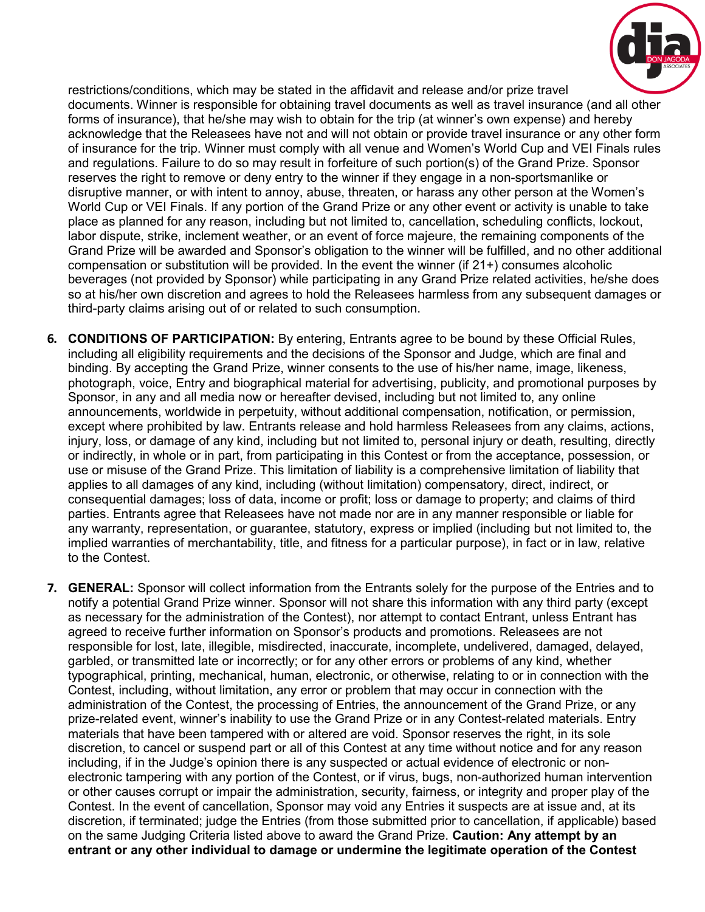

restrictions/conditions, which may be stated in the affidavit and release and/or prize travel documents. Winner is responsible for obtaining travel documents as well as travel insurance (and all other forms of insurance), that he/she may wish to obtain for the trip (at winner's own expense) and hereby acknowledge that the Releasees have not and will not obtain or provide travel insurance or any other form of insurance for the trip. Winner must comply with all venue and Women's World Cup and VEI Finals rules and regulations. Failure to do so may result in forfeiture of such portion(s) of the Grand Prize. Sponsor reserves the right to remove or deny entry to the winner if they engage in a non-sportsmanlike or disruptive manner, or with intent to annoy, abuse, threaten, or harass any other person at the Women's World Cup or VEI Finals. If any portion of the Grand Prize or any other event or activity is unable to take place as planned for any reason, including but not limited to, cancellation, scheduling conflicts, lockout, labor dispute, strike, inclement weather, or an event of force majeure, the remaining components of the Grand Prize will be awarded and Sponsor's obligation to the winner will be fulfilled, and no other additional compensation or substitution will be provided. In the event the winner (if 21+) consumes alcoholic beverages (not provided by Sponsor) while participating in any Grand Prize related activities, he/she does so at his/her own discretion and agrees to hold the Releasees harmless from any subsequent damages or third-party claims arising out of or related to such consumption.

- **6. CONDITIONS OF PARTICIPATION:** By entering, Entrants agree to be bound by these Official Rules, including all eligibility requirements and the decisions of the Sponsor and Judge, which are final and binding. By accepting the Grand Prize, winner consents to the use of his/her name, image, likeness, photograph, voice, Entry and biographical material for advertising, publicity, and promotional purposes by Sponsor, in any and all media now or hereafter devised, including but not limited to, any online announcements, worldwide in perpetuity, without additional compensation, notification, or permission, except where prohibited by law. Entrants release and hold harmless Releasees from any claims, actions, injury, loss, or damage of any kind, including but not limited to, personal injury or death, resulting, directly or indirectly, in whole or in part, from participating in this Contest or from the acceptance, possession, or use or misuse of the Grand Prize. This limitation of liability is a comprehensive limitation of liability that applies to all damages of any kind, including (without limitation) compensatory, direct, indirect, or consequential damages; loss of data, income or profit; loss or damage to property; and claims of third parties. Entrants agree that Releasees have not made nor are in any manner responsible or liable for any warranty, representation, or guarantee, statutory, express or implied (including but not limited to, the implied warranties of merchantability, title, and fitness for a particular purpose), in fact or in law, relative to the Contest.
- **7. GENERAL:** Sponsor will collect information from the Entrants solely for the purpose of the Entries and to notify a potential Grand Prize winner. Sponsor will not share this information with any third party (except as necessary for the administration of the Contest), nor attempt to contact Entrant, unless Entrant has agreed to receive further information on Sponsor's products and promotions. Releasees are not responsible for lost, late, illegible, misdirected, inaccurate, incomplete, undelivered, damaged, delayed, garbled, or transmitted late or incorrectly; or for any other errors or problems of any kind, whether typographical, printing, mechanical, human, electronic, or otherwise, relating to or in connection with the Contest, including, without limitation, any error or problem that may occur in connection with the administration of the Contest, the processing of Entries, the announcement of the Grand Prize, or any prize-related event, winner's inability to use the Grand Prize or in any Contest-related materials. Entry materials that have been tampered with or altered are void. Sponsor reserves the right, in its sole discretion, to cancel or suspend part or all of this Contest at any time without notice and for any reason including, if in the Judge's opinion there is any suspected or actual evidence of electronic or nonelectronic tampering with any portion of the Contest, or if virus, bugs, non-authorized human intervention or other causes corrupt or impair the administration, security, fairness, or integrity and proper play of the Contest. In the event of cancellation, Sponsor may void any Entries it suspects are at issue and, at its discretion, if terminated; judge the Entries (from those submitted prior to cancellation, if applicable) based on the same Judging Criteria listed above to award the Grand Prize. **Caution: Any attempt by an entrant or any other individual to damage or undermine the legitimate operation of the Contest**